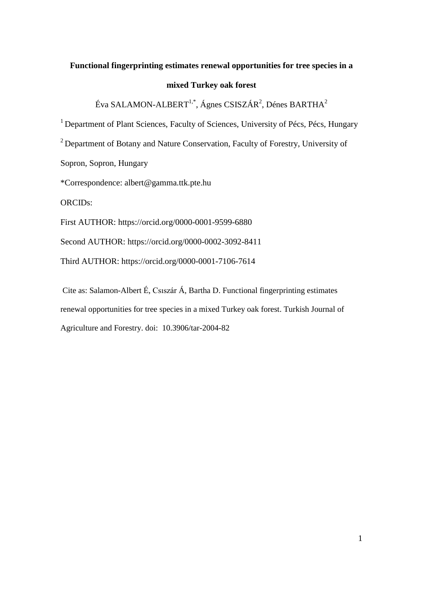# **Functional fingerprinting estimates renewal opportunities for tree species in a**

# **mixed Turkey oak forest**

Éva SALAMON-ALBERT $^{1,*}$ , Ágnes CSISZÁR $^{2}$ , Dénes BARTHA $^{2}$ 

<sup>1</sup> Department of Plant Sciences, Faculty of Sciences, University of Pécs, Pécs, Hungary

<sup>2</sup> Department of Botany and Nature Conservation, Faculty of Forestry, University of

Sopron, Sopron, Hungary

\*Correspondence: albert@gamma.ttk.pte.hu

ORCIDs:

First AUTHOR: https://orcid.org/0000-0001-9599-6880

Second AUTHOR: https://orcid.org/0000-0002-3092-8411

Third AUTHOR: https://orcid.org/0000-0001-7106-7614

Cite as: Salamon-Albert É, Csıszár Á, Bartha D. Functional fingerprinting estimates renewal opportunities for tree species in a mixed Turkey oak forest. Turkish Journal of Agriculture and Forestry. doi: 10.3906/tar-2004-82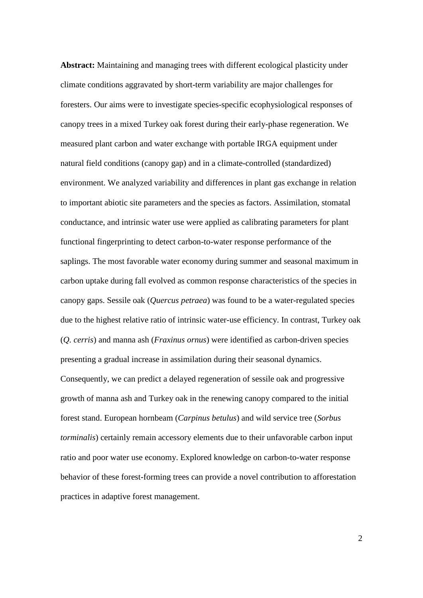**Abstract:** Maintaining and managing trees with different ecological plasticity under climate conditions aggravated by short-term variability are major challenges for foresters. Our aims were to investigate species-specific ecophysiological responses of canopy trees in a mixed Turkey oak forest during their early-phase regeneration. We measured plant carbon and water exchange with portable IRGA equipment under natural field conditions (canopy gap) and in a climate-controlled (standardized) environment. We analyzed variability and differences in plant gas exchange in relation to important abiotic site parameters and the species as factors. Assimilation, stomatal conductance, and intrinsic water use were applied as calibrating parameters for plant functional fingerprinting to detect carbon-to-water response performance of the saplings. The most favorable water economy during summer and seasonal maximum in carbon uptake during fall evolved as common response characteristics of the species in canopy gaps. Sessile oak (*Quercus petraea*) was found to be a water-regulated species due to the highest relative ratio of intrinsic water-use efficiency. In contrast, Turkey oak (*Q. cerris*) and manna ash (*Fraxinus ornus*) were identified as carbon-driven species presenting a gradual increase in assimilation during their seasonal dynamics. Consequently, we can predict a delayed regeneration of sessile oak and progressive growth of manna ash and Turkey oak in the renewing canopy compared to the initial forest stand. European hornbeam (*Carpinus betulus*) and wild service tree (*Sorbus torminalis*) certainly remain accessory elements due to their unfavorable carbon input ratio and poor water use economy. Explored knowledge on carbon-to-water response behavior of these forest-forming trees can provide a novel contribution to afforestation practices in adaptive forest management.

2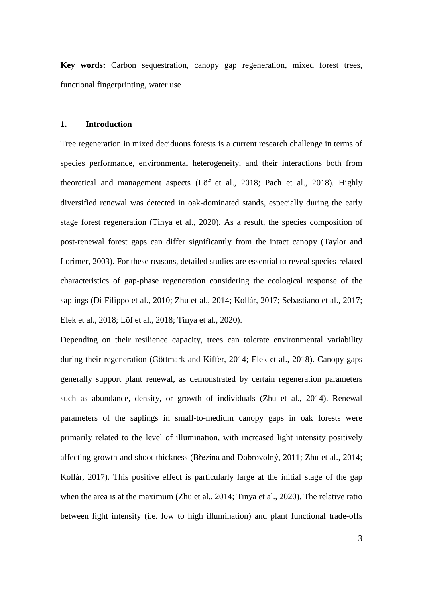**Key words:** Carbon sequestration, canopy gap regeneration, mixed forest trees, functional fingerprinting, water use

# **1. Introduction**

Tree regeneration in mixed deciduous forests is a current research challenge in terms of species performance, environmental heterogeneity, and their interactions both from theoretical and management aspects (Löf et al., 2018; Pach et al., 2018). Highly diversified renewal was detected in oak-dominated stands, especially during the early stage forest regeneration (Tinya et al., 2020). As a result, the species composition of post-renewal forest gaps can differ significantly from the intact canopy (Taylor and Lorimer, 2003). For these reasons, detailed studies are essential to reveal species-related characteristics of gap-phase regeneration considering the ecological response of the saplings (Di Filippo et al., 2010; Zhu et al., 2014; Kollár, 2017; Sebastiano et al., 2017; Elek et al., 2018; Löf et al., 2018; Tinya et al., 2020).

Depending on their resilience capacity, trees can tolerate environmental variability during their regeneration (Göttmark and Kiffer, 2014; Elek et al., 2018). Canopy gaps generally support plant renewal, as demonstrated by certain regeneration parameters such as abundance, density, or growth of individuals (Zhu et al., 2014). Renewal parameters of the saplings in small-to-medium canopy gaps in oak forests were primarily related to the level of illumination, with increased light intensity positively affecting growth and shoot thickness (Březina and Dobrovolný, 2011; Zhu et al., 2014; Kollár, 2017). This positive effect is particularly large at the initial stage of the gap when the area is at the maximum (Zhu et al., 2014; Tinya et al., 2020). The relative ratio between light intensity (i.e. low to high illumination) and plant functional trade-offs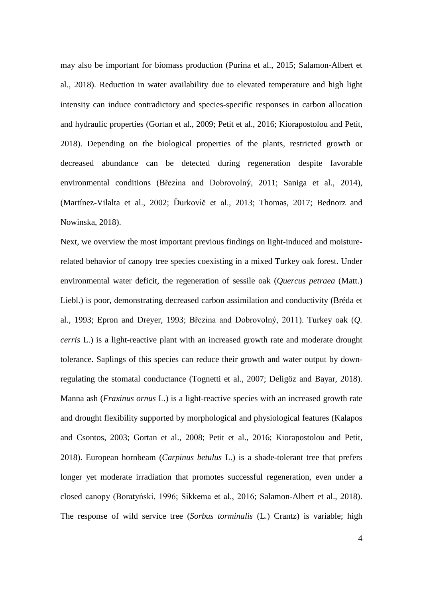may also be important for biomass production (Purina et al., 2015; Salamon-Albert et al., 2018). Reduction in water availability due to elevated temperature and high light intensity can induce contradictory and species-specific responses in carbon allocation and hydraulic properties (Gortan et al., 2009; Petit et al., 2016; Kiorapostolou and Petit, 2018). Depending on the biological properties of the plants, restricted growth or decreased abundance can be detected during regeneration despite favorable environmental conditions (Březina and Dobrovolný, 2011; Saniga et al., 2014), (Martínez-Vilalta et al., 2002; Ďurkovič et al., 2013; Thomas, 2017; Bednorz and Nowinska, 2018).

Next, we overview the most important previous findings on light-induced and moisturerelated behavior of canopy tree species coexisting in a mixed Turkey oak forest. Under environmental water deficit, the regeneration of sessile oak (*Quercus petraea* (Matt.) Liebl.) is poor, demonstrating decreased carbon assimilation and conductivity (Bréda et al., 1993; Epron and Dreyer, 1993; Březina and Dobrovolný, 2011). Turkey oak (*Q. cerris* L.) is a light-reactive plant with an increased growth rate and moderate drought tolerance. Saplings of this species can reduce their growth and water output by downregulating the stomatal conductance (Tognetti et al., 2007; Deligöz and Bayar, 2018). Manna ash (*Fraxinus ornus* L.) is a light-reactive species with an increased growth rate and drought flexibility supported by morphological and physiological features (Kalapos and Csontos, 2003; Gortan et al., 2008; Petit et al., 2016; Kiorapostolou and Petit, 2018). European hornbeam (*Carpinus betulus* L.) is a shade-tolerant tree that prefers longer yet moderate irradiation that promotes successful regeneration, even under a closed canopy (Boratyński, 1996; Sikkema et al., 2016; Salamon-Albert et al., 2018). The response of wild service tree (*Sorbus torminalis* (L.) Crantz) is variable; high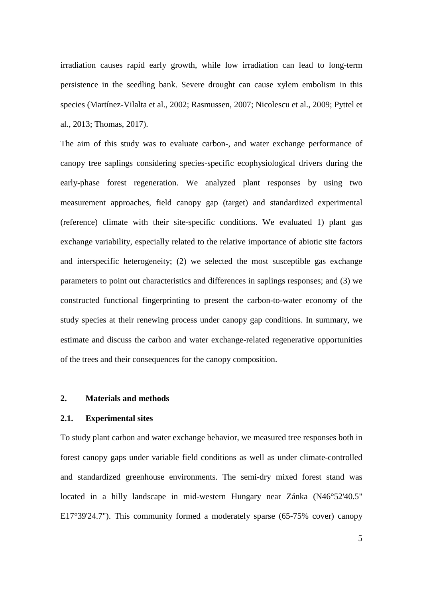irradiation causes rapid early growth, while low irradiation can lead to long-term persistence in the seedling bank. Severe drought can cause xylem embolism in this species (Martínez-Vilalta et al., 2002; Rasmussen, 2007; Nicolescu et al., 2009; Pyttel et al., 2013; Thomas, 2017).

The aim of this study was to evaluate carbon-, and water exchange performance of canopy tree saplings considering species-specific ecophysiological drivers during the early-phase forest regeneration. We analyzed plant responses by using two measurement approaches, field canopy gap (target) and standardized experimental (reference) climate with their site-specific conditions. We evaluated 1) plant gas exchange variability, especially related to the relative importance of abiotic site factors and interspecific heterogeneity; (2) we selected the most susceptible gas exchange parameters to point out characteristics and differences in saplings responses; and (3) we constructed functional fingerprinting to present the carbon-to-water economy of the study species at their renewing process under canopy gap conditions. In summary, we estimate and discuss the carbon and water exchange-related regenerative opportunities of the trees and their consequences for the canopy composition.

### **2. Materials and methods**

## **2.1. Experimental sites**

To study plant carbon and water exchange behavior, we measured tree responses both in forest canopy gaps under variable field conditions as well as under climate-controlled and standardized greenhouse environments. The semi-dry mixed forest stand was located in a hilly landscape in mid-western Hungary near Zánka (N46°52'40.5" E17°39'24.7"). This community formed a moderately sparse (65-75% cover) canopy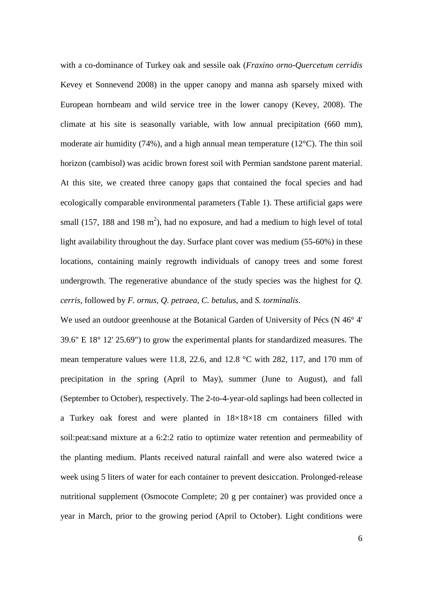with a co-dominance of Turkey oak and sessile oak (*Fraxino orno-Quercetum cerridis* Kevey et Sonnevend 2008) in the upper canopy and manna ash sparsely mixed with European hornbeam and wild service tree in the lower canopy (Kevey, 2008). The climate at his site is seasonally variable, with low annual precipitation (660 mm), moderate air humidity (74%), and a high annual mean temperature (12°C). The thin soil horizon (cambisol) was acidic brown forest soil with Permian sandstone parent material. At this site, we created three canopy gaps that contained the focal species and had ecologically comparable environmental parameters (Table 1). These artificial gaps were small (157, 188 and 198  $m<sup>2</sup>$ ), had no exposure, and had a medium to high level of total light availability throughout the day. Surface plant cover was medium (55-60%) in these locations, containing mainly regrowth individuals of canopy trees and some forest undergrowth. The regenerative abundance of the study species was the highest for *Q. cerris*, followed by *F. ornus, Q. petraea, C. betulus*, and *S. torminalis*.

We used an outdoor greenhouse at the Botanical Garden of University of Pécs (N 46<sup>o</sup> 4' 39.6" E 18° 12' 25.69") to grow the experimental plants for standardized measures. The mean temperature values were 11.8, 22.6, and 12.8 °C with 282, 117, and 170 mm of precipitation in the spring (April to May), summer (June to August), and fall (September to October), respectively. The 2-to-4-year-old saplings had been collected in a Turkey oak forest and were planted in  $18\times18\times18$  cm containers filled with soil:peat:sand mixture at a 6:2:2 ratio to optimize water retention and permeability of the planting medium. Plants received natural rainfall and were also watered twice a week using 5 liters of water for each container to prevent desiccation. Prolonged-release nutritional supplement (Osmocote Complete; 20 g per container) was provided once a year in March, prior to the growing period (April to October). Light conditions were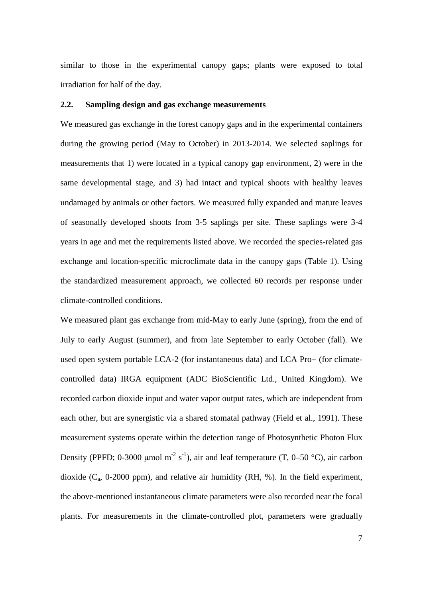similar to those in the experimental canopy gaps; plants were exposed to total irradiation for half of the day.

# **2.2. Sampling design and gas exchange measurements**

We measured gas exchange in the forest canopy gaps and in the experimental containers during the growing period (May to October) in 2013-2014. We selected saplings for measurements that 1) were located in a typical canopy gap environment, 2) were in the same developmental stage, and 3) had intact and typical shoots with healthy leaves undamaged by animals or other factors. We measured fully expanded and mature leaves of seasonally developed shoots from 3-5 saplings per site. These saplings were 3-4 years in age and met the requirements listed above. We recorded the species-related gas exchange and location-specific microclimate data in the canopy gaps (Table 1). Using the standardized measurement approach, we collected 60 records per response under climate-controlled conditions.

We measured plant gas exchange from mid-May to early June (spring), from the end of July to early August (summer), and from late September to early October (fall). We used open system portable LCA-2 (for instantaneous data) and LCA Pro+ (for climatecontrolled data) IRGA equipment (ADC BioScientific Ltd., United Kingdom). We recorded carbon dioxide input and water vapor output rates, which are independent from each other, but are synergistic via a shared stomatal pathway (Field et al., 1991). These measurement systems operate within the detection range of Photosynthetic Photon Flux Density (PPFD; 0-3000 µmol m<sup>-2</sup> s<sup>-1</sup>), air and leaf temperature (T, 0–50 °C), air carbon dioxide  $(C_a, 0\n-2000 \text{ ppm})$ , and relative air humidity (RH, %). In the field experiment, the above-mentioned instantaneous climate parameters were also recorded near the focal plants. For measurements in the climate-controlled plot, parameters were gradually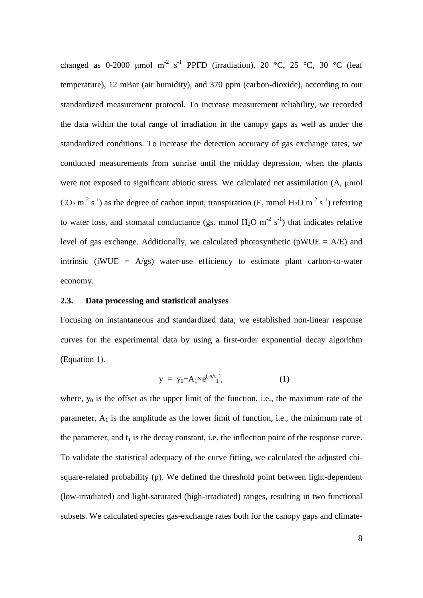changed as 0-2000 µmol m<sup>-2</sup> s<sup>-1</sup> PPFD (irradiation), 20 °C, 25 °C, 30 °C (leaf temperature), 12 mBar (air humidity), and 370 ppm (carbon-dioxide), according to our standardized measurement protocol. To increase measurement reliability, we recorded the data within the total range of irradiation in the canopy gaps as well as under the standardized conditions. To increase the detection accuracy of gas exchange rates, we conducted measurements from sunrise until the midday depression, when the plants were not exposed to significant abiotic stress. We calculated net assimilation (A, μmol CO<sub>2</sub> m<sup>-2</sup> s<sup>-1</sup>) as the degree of carbon input, transpiration (E, mmol H<sub>2</sub>O m<sup>-2</sup> s<sup>-1</sup>) referring to water loss, and stomatal conductance (gs. mmol  $H_2O$  m<sup>-2</sup> s<sup>-1</sup>) that indicates relative level of gas exchange. Additionally, we calculated photosynthetic ( $pWUE = A/E$ ) and intrinsic (iWUE =  $A/gs$ ) water-use efficiency to estimate plant carbon-to-water economy.

# **2.3. Data processing and statistical analyses**

Focusing on instantaneous and standardized data, we established non-linear response curves for the experimental data by using a first-order exponential decay algorithm (Equation 1).

$$
y = y_0 + A_1 \times e^{(-x/t_1)}, \tag{1}
$$

where,  $y_0$  is the offset as the upper limit of the function, i.e., the maximum rate of the parameter,  $A_1$  is the amplitude as the lower limit of function, i.e., the minimum rate of the parameter, and  $t_1$  is the decay constant, i.e. the inflection point of the response curve. To validate the statistical adequacy of the curve fitting, we calculated the adjusted chisquare-related probability (p). We defined the threshold point between light-dependent (low-irradiated) and light-saturated (high-irradiated) ranges, resulting in two functional subsets. We calculated species gas-exchange rates both for the canopy gaps and climate-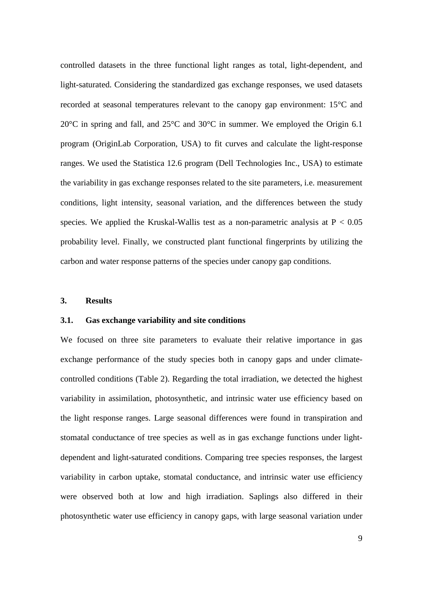controlled datasets in the three functional light ranges as total, light-dependent, and light-saturated. Considering the standardized gas exchange responses, we used datasets recorded at seasonal temperatures relevant to the canopy gap environment: 15°C and 20°C in spring and fall, and 25°C and 30°C in summer. We employed the Origin 6.1 program (OriginLab Corporation, USA) to fit curves and calculate the light-response ranges. We used the Statistica 12.6 program (Dell Technologies Inc., USA) to estimate the variability in gas exchange responses related to the site parameters, i.e. measurement conditions, light intensity, seasonal variation, and the differences between the study species. We applied the Kruskal-Wallis test as a non-parametric analysis at  $P < 0.05$ probability level. Finally, we constructed plant functional fingerprints by utilizing the carbon and water response patterns of the species under canopy gap conditions.

# **3. Results**

#### **3.1. Gas exchange variability and site conditions**

We focused on three site parameters to evaluate their relative importance in gas exchange performance of the study species both in canopy gaps and under climatecontrolled conditions (Table 2). Regarding the total irradiation, we detected the highest variability in assimilation, photosynthetic, and intrinsic water use efficiency based on the light response ranges. Large seasonal differences were found in transpiration and stomatal conductance of tree species as well as in gas exchange functions under lightdependent and light-saturated conditions. Comparing tree species responses, the largest variability in carbon uptake, stomatal conductance, and intrinsic water use efficiency were observed both at low and high irradiation. Saplings also differed in their photosynthetic water use efficiency in canopy gaps, with large seasonal variation under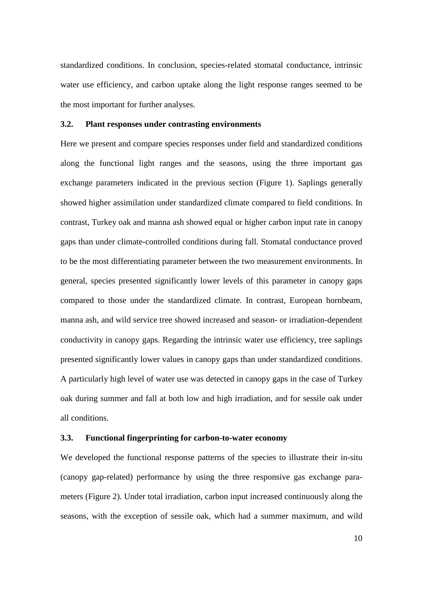standardized conditions. In conclusion, species-related stomatal conductance, intrinsic water use efficiency, and carbon uptake along the light response ranges seemed to be the most important for further analyses.

### **3.2. Plant responses under contrasting environments**

Here we present and compare species responses under field and standardized conditions along the functional light ranges and the seasons, using the three important gas exchange parameters indicated in the previous section (Figure 1). Saplings generally showed higher assimilation under standardized climate compared to field conditions. In contrast, Turkey oak and manna ash showed equal or higher carbon input rate in canopy gaps than under climate-controlled conditions during fall. Stomatal conductance proved to be the most differentiating parameter between the two measurement environments. In general, species presented significantly lower levels of this parameter in canopy gaps compared to those under the standardized climate. In contrast, European hornbeam, manna ash, and wild service tree showed increased and season- or irradiation-dependent conductivity in canopy gaps. Regarding the intrinsic water use efficiency, tree saplings presented significantly lower values in canopy gaps than under standardized conditions. A particularly high level of water use was detected in canopy gaps in the case of Turkey oak during summer and fall at both low and high irradiation, and for sessile oak under all conditions.

### **3.3. Functional fingerprinting for carbon-to-water economy**

We developed the functional response patterns of the species to illustrate their in-situ (canopy gap-related) performance by using the three responsive gas exchange parameters (Figure 2). Under total irradiation, carbon input increased continuously along the seasons, with the exception of sessile oak, which had a summer maximum, and wild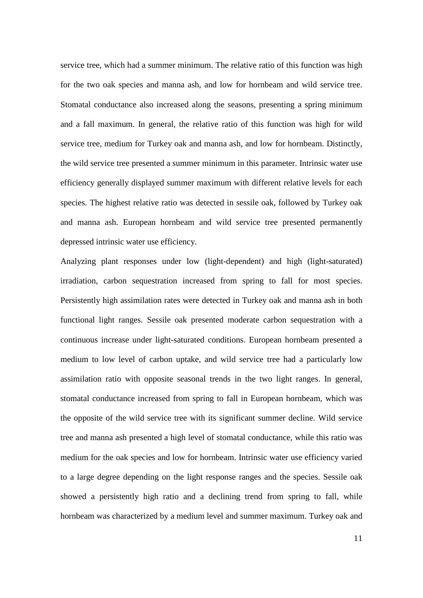service tree, which had a summer minimum. The relative ratio of this function was high for the two oak species and manna ash, and low for hornbeam and wild service tree. Stomatal conductance also increased along the seasons, presenting a spring minimum and a fall maximum. In general, the relative ratio of this function was high for wild service tree, medium for Turkey oak and manna ash, and low for hornbeam. Distinctly, the wild service tree presented a summer minimum in this parameter. Intrinsic water use efficiency generally displayed summer maximum with different relative levels for each species. The highest relative ratio was detected in sessile oak, followed by Turkey oak and manna ash. European hornbeam and wild service tree presented permanently depressed intrinsic water use efficiency.

Analyzing plant responses under low (light-dependent) and high (light-saturated) irradiation, carbon sequestration increased from spring to fall for most species. Persistently high assimilation rates were detected in Turkey oak and manna ash in both functional light ranges. Sessile oak presented moderate carbon sequestration with a continuous increase under light-saturated conditions. European hornbeam presented a medium to low level of carbon uptake, and wild service tree had a particularly low assimilation ratio with opposite seasonal trends in the two light ranges. In general, stomatal conductance increased from spring to fall in European hornbeam, which was the opposite of the wild service tree with its significant summer decline. Wild service tree and manna ash presented a high level of stomatal conductance, while this ratio was medium for the oak species and low for hornbeam. Intrinsic water use efficiency varied to a large degree depending on the light response ranges and the species. Sessile oak showed a persistently high ratio and a declining trend from spring to fall, while hornbeam was characterized by a medium level and summer maximum. Turkey oak and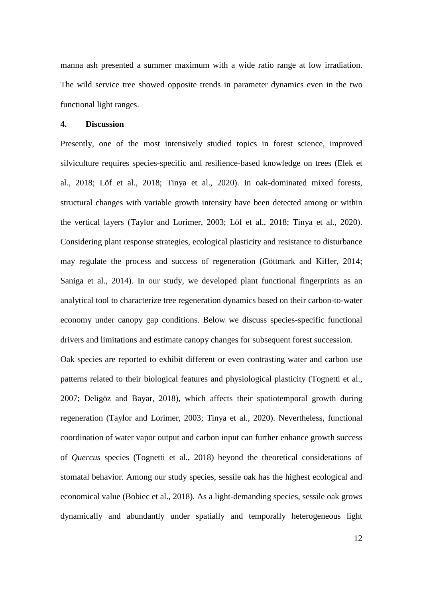manna ash presented a summer maximum with a wide ratio range at low irradiation. The wild service tree showed opposite trends in parameter dynamics even in the two functional light ranges.

## **4. Discussion**

Presently, one of the most intensively studied topics in forest science, improved silviculture requires species-specific and resilience-based knowledge on trees (Elek et al., 2018; Löf et al., 2018; Tinya et al., 2020). In oak-dominated mixed forests, structural changes with variable growth intensity have been detected among or within the vertical layers (Taylor and Lorimer, 2003; Löf et al., 2018; Tinya et al., 2020). Considering plant response strategies, ecological plasticity and resistance to disturbance may regulate the process and success of regeneration (Göttmark and Kiffer, 2014; Saniga et al., 2014). In our study, we developed plant functional fingerprints as an analytical tool to characterize tree regeneration dynamics based on their carbon-to-water economy under canopy gap conditions. Below we discuss species-specific functional drivers and limitations and estimate canopy changes for subsequent forest succession.

Oak species are reported to exhibit different or even contrasting water and carbon use patterns related to their biological features and physiological plasticity (Tognetti et al., 2007; Deligöz and Bayar, 2018), which affects their spatiotemporal growth during regeneration (Taylor and Lorimer, 2003; Tinya et al., 2020). Nevertheless, functional coordination of water vapor output and carbon input can further enhance growth success of *Quercus* species (Tognetti et al., 2018) beyond the theoretical considerations of stomatal behavior. Among our study species, sessile oak has the highest ecological and economical value (Bobiec et al., 2018). As a light-demanding species, sessile oak grows dynamically and abundantly under spatially and temporally heterogeneous light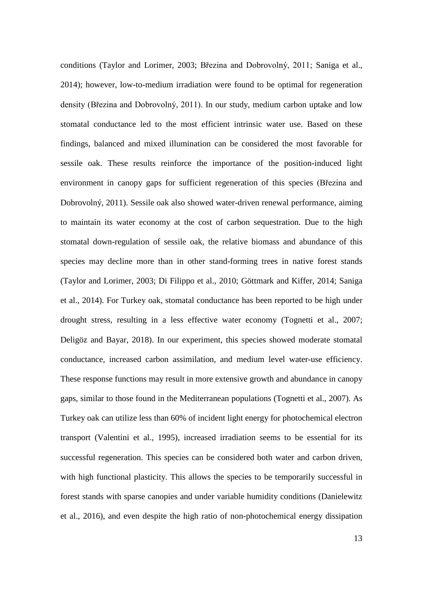conditions (Taylor and Lorimer, 2003; Březina and Dobrovolný, 2011; Saniga et al., 2014); however, low-to-medium irradiation were found to be optimal for regeneration density (Březina and Dobrovolný, 2011). In our study, medium carbon uptake and low stomatal conductance led to the most efficient intrinsic water use. Based on these findings, balanced and mixed illumination can be considered the most favorable for sessile oak. These results reinforce the importance of the position-induced light environment in canopy gaps for sufficient regeneration of this species (Březina and Dobrovolný, 2011). Sessile oak also showed water-driven renewal performance, aiming to maintain its water economy at the cost of carbon sequestration. Due to the high stomatal down-regulation of sessile oak, the relative biomass and abundance of this species may decline more than in other stand-forming trees in native forest stands (Taylor and Lorimer, 2003; Di Filippo et al., 2010; Göttmark and Kiffer, 2014; Saniga et al., 2014). For Turkey oak, stomatal conductance has been reported to be high under drought stress, resulting in a less effective water economy (Tognetti et al., 2007; Deligöz and Bayar, 2018). In our experiment, this species showed moderate stomatal conductance, increased carbon assimilation, and medium level water-use efficiency. These response functions may result in more extensive growth and abundance in canopy gaps, similar to those found in the Mediterranean populations (Tognetti et al., 2007). As Turkey oak can utilize less than 60% of incident light energy for photochemical electron transport (Valentini et al., 1995), increased irradiation seems to be essential for its successful regeneration. This species can be considered both water and carbon driven, with high functional plasticity. This allows the species to be temporarily successful in forest stands with sparse canopies and under variable humidity conditions (Danielewitz et al., 2016), and even despite the high ratio of non-photochemical energy dissipation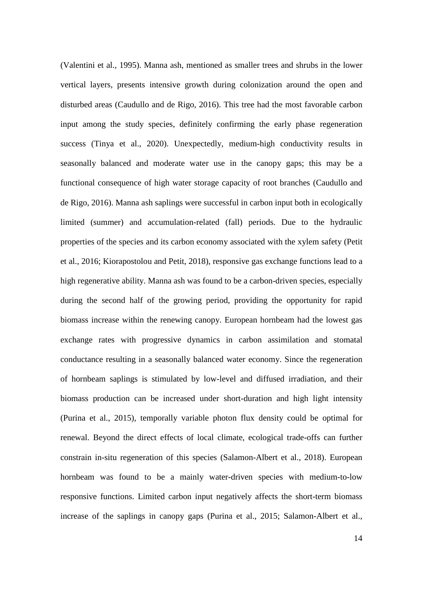(Valentini et al., 1995). Manna ash, mentioned as smaller trees and shrubs in the lower vertical layers, presents intensive growth during colonization around the open and disturbed areas (Caudullo and de Rigo, 2016). This tree had the most favorable carbon input among the study species, definitely confirming the early phase regeneration success (Tinya et al., 2020). Unexpectedly, medium-high conductivity results in seasonally balanced and moderate water use in the canopy gaps; this may be a functional consequence of high water storage capacity of root branches (Caudullo and de Rigo, 2016). Manna ash saplings were successful in carbon input both in ecologically limited (summer) and accumulation-related (fall) periods. Due to the hydraulic properties of the species and its carbon economy associated with the xylem safety (Petit et al., 2016; Kiorapostolou and Petit, 2018), responsive gas exchange functions lead to a high regenerative ability. Manna ash was found to be a carbon-driven species, especially during the second half of the growing period, providing the opportunity for rapid biomass increase within the renewing canopy. European hornbeam had the lowest gas exchange rates with progressive dynamics in carbon assimilation and stomatal conductance resulting in a seasonally balanced water economy. Since the regeneration of hornbeam saplings is stimulated by low-level and diffused irradiation, and their biomass production can be increased under short-duration and high light intensity (Purina et al., 2015), temporally variable photon flux density could be optimal for renewal. Beyond the direct effects of local climate, ecological trade-offs can further constrain in-situ regeneration of this species (Salamon-Albert et al., 2018). European hornbeam was found to be a mainly water-driven species with medium-to-low responsive functions. Limited carbon input negatively affects the short-term biomass increase of the saplings in canopy gaps (Purina et al., 2015; Salamon-Albert et al.,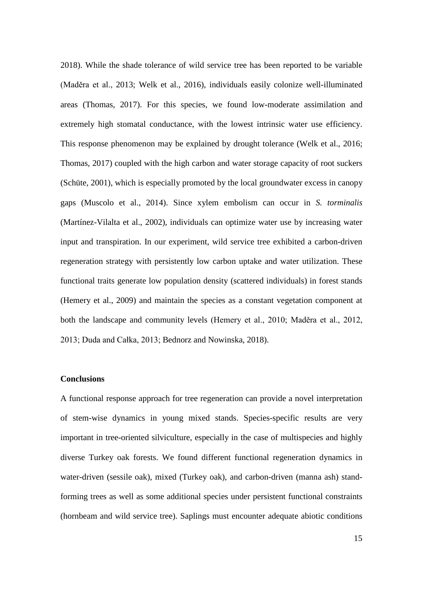2018). While the shade tolerance of wild service tree has been reported to be variable (Maděra et al., 2013; Welk et al., 2016), individuals easily colonize well-illuminated areas (Thomas, 2017). For this species, we found low-moderate assimilation and extremely high stomatal conductance, with the lowest intrinsic water use efficiency. This response phenomenon may be explained by drought tolerance (Welk et al., 2016; Thomas, 2017) coupled with the high carbon and water storage capacity of root suckers (Schüte, 2001), which is especially promoted by the local groundwater excess in canopy gaps (Muscolo et al., 2014). Since xylem embolism can occur in *S. torminalis* (Martínez-Vilalta et al., 2002), individuals can optimize water use by increasing water input and transpiration. In our experiment, wild service tree exhibited a carbon-driven regeneration strategy with persistently low carbon uptake and water utilization. These functional traits generate low population density (scattered individuals) in forest stands (Hemery et al., 2009) and maintain the species as a constant vegetation component at both the landscape and community levels (Hemery et al., 2010; Maděra et al., 2012, 2013; Duda and Całka, 2013; Bednorz and Nowinska, 2018).

### **Conclusions**

A functional response approach for tree regeneration can provide a novel interpretation of stem-wise dynamics in young mixed stands. Species-specific results are very important in tree-oriented silviculture, especially in the case of multispecies and highly diverse Turkey oak forests. We found different functional regeneration dynamics in water-driven (sessile oak), mixed (Turkey oak), and carbon-driven (manna ash) standforming trees as well as some additional species under persistent functional constraints (hornbeam and wild service tree). Saplings must encounter adequate abiotic conditions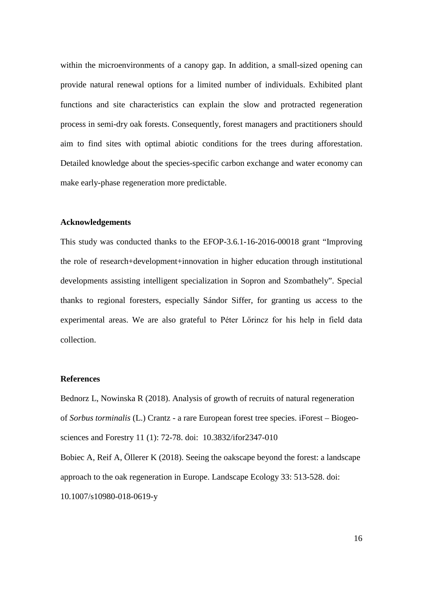within the microenvironments of a canopy gap. In addition, a small-sized opening can provide natural renewal options for a limited number of individuals. Exhibited plant functions and site characteristics can explain the slow and protracted regeneration process in semi-dry oak forests. Consequently, forest managers and practitioners should aim to find sites with optimal abiotic conditions for the trees during afforestation. Detailed knowledge about the species-specific carbon exchange and water economy can make early-phase regeneration more predictable.

### **Acknowledgements**

This study was conducted thanks to the EFOP-3.6.1-16-2016-00018 grant "Improving the role of research+development+innovation in higher education through institutional developments assisting intelligent specialization in Sopron and Szombathely". Special thanks to regional foresters, especially Sándor Siffer, for granting us access to the experimental areas. We are also grateful to Péter Lőrincz for his help in field data collection.

### **References**

Bednorz L, Nowinska R (2018). Analysis of growth of recruits of natural regeneration of *Sorbus torminalis* (L.) Crantz - a rare European forest tree species. iForest – Biogeosciences and Forestry 11 (1): 72-78. [doi: 10.3832/ifor2347-010](https://doi.org/10.3832/ifor2347-010) Bobiec A, Reif A, Öllerer K (2018). Seeing the oakscape beyond the forest: a landscape approach to the oak regeneration in Europe. Landscape Ecology 33: 513-528. [doi:](https://doi.org/10.1007/s10980-018-0619-y)  [10.1007/s10980-018-0619-y](https://doi.org/10.1007/s10980-018-0619-y)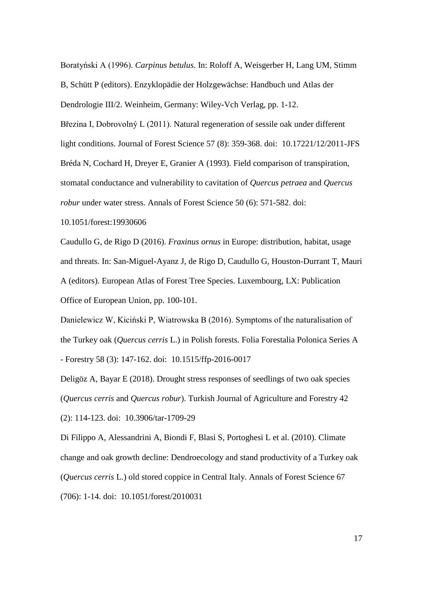Boratyński A (1996). *Carpinus betulus*. In: Roloff A, Weisgerber H, Lang UM, Stimm B, Schütt P (editors). Enzyklopädie der Holzgewächse: Handbuch und Atlas der Dendrologie III/2. Weinheim, Germany: Wiley-Vch Verlag, pp. 1-12. Březina I, Dobrovolný L (2011). Natural regeneration of sessile oak under different light conditions. Journal of Forest Science 57 (8): 359-368. doi: [10.17221/12/2011-JFS](https://www.researchgate.net/deref/http%3A%2F%2Fdx.doi.org%2F10.17221%2F12%2F2011-JFS?_sg%5B0%5D=_sBUPPqxW9Fr79DTmXqucw3D5Ifx0UsXukMGWStTMKaV1gTYM8L_EzbARAmEBM4eQbawaswC83hB3L_YrdpbdGYV4A.1sGGhxk8YyvevsQIzcHjtLxc29auoOuxfKun4x_0-n0K4RsFt9dskl8CPMNNg3vXMtMb3QJkf7j79kga5R2wCQ) Bréda N, Cochard H, Dreyer E, Granier A (1993). Field comparison of transpiration, stomatal conductance and vulnerability to cavitation of *Quercus petraea* and *Quercus robur* under water stress. Annals of Forest Science 50 (6): 571-582. doi:

10.1051/forest:19930606

Caudullo G, de Rigo D (2016). *Fraxinus ornus* in Europe: distribution, habitat, usage and threats. In: San-Miguel-Ayanz J, de Rigo D, Caudullo G, Houston-Durrant T, Mauri A (editors). European Atlas of Forest Tree Species. Luxembourg, LX: Publication Office of European Union, pp. 100-101.

Danielewicz W, Kiciński P, Wiatrowska B (2016). Symptoms of the naturalisation of the Turkey oak (*Quercus cerris* L.) in Polish forests. Folia Forestalia Polonica Series A - Forestry 58 (3): 147-162. doi: [10.1515/ffp-2016-0017](https://www.researchgate.net/deref/http%3A%2F%2Fdx.doi.org%2F10.1515%2Fffp-2016-0017?_sg%5B0%5D=QstYvZv28tNwyFHgd5h5deLFVD6Q7NLDOk76ewIae_hnEN4UGG5ESeGy65oe3w7C9LmB6ytrBZgn2O5HCP0__k5BsQ.x5mUQSkYITRnf-xGsyTY0MOjKB35MiTH2-uG3o6p-4bYPpC_cSoDMHe0si0qUFAkrPbfL0yha2ZAIstVuJev1Q)

Deligöz A, Bayar E (2018). Drought stress responses of seedlings of two oak species (*Quercus cerris* and *Quercus robur*). Turkish Journal of Agriculture and Forestry 42 (2): 114-123. doi: 10.3906/tar-1709-29

Di Filippo A, Alessandrini A, Biondi F, Blasi S, Portoghesi L et al. (2010). Climate change and oak growth decline: Dendroecology and stand productivity of a Turkey oak (*Quercus cerris* L.) old stored coppice in Central Italy. Annals of Forest Science 67 (706): 1-14. doi: 10.1051/forest/2010031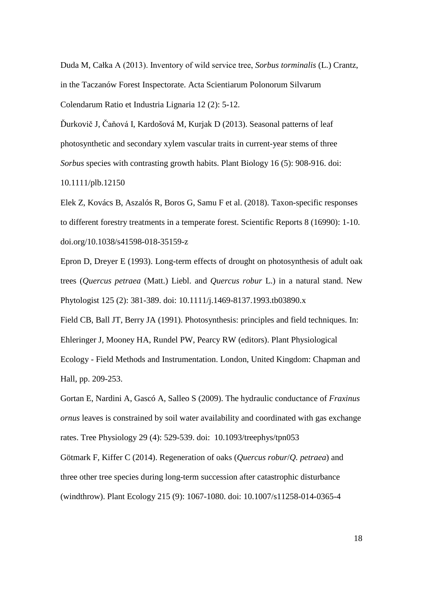Duda M, Całka A (2013). Inventory of wild service tree, *Sorbus torminalis* (L.) Crantz, in the Taczanów Forest Inspectorate. Acta Scientiarum Polonorum Silvarum Colendarum Ratio et Industria Lignaria 12 (2): 5-12.

Ďurkovič J, Čaňová I, Kardošová M, Kurjak D (2013). Seasonal patterns of leaf photosynthetic and secondary xylem vascular traits in current-year stems of three *Sorbus* species with contrasting growth habits. Plant Biology 16 (5): 908-916. doi:

10.1111/plb.12150

Elek Z, Kovács B, Aszalós R, Boros G, Samu F et al. (2018). Taxon-specific responses to different forestry treatments in a temperate forest. Scientific Reports 8 (16990): 1-10. [doi.org/10.1038/s41598-018-35159-z](https://doi.org/10.1038/s41598-018-35159-z)

Epron D, Dreyer E (1993). Long-term effects of drought on photosynthesis of adult oak trees (*Quercus petraea* (Matt.) Liebl. and *Quercus robur* L.) in a natural stand. New Phytologist 125 (2): 381-389. doi: 10.1111/j.1469-8137.1993.tb03890.x

Field CB, Ball JT, Berry JA (1991). Photosynthesis: principles and field techniques. In: Ehleringer J, Mooney HA, Rundel PW, Pearcy RW (editors). Plant Physiological Ecology - Field Methods and Instrumentation. London, United Kingdom: Chapman and Hall, pp. 209-253.

Gortan E, Nardini A, Gascó A, Salleo S (2009). The hydraulic conductance of *Fraxinus ornus* leaves is constrained by soil water availability and coordinated with gas exchange rates. Tree Physiology 29 (4): 529-539. doi: 10.1093/treephys/tpn053

Götmark F, Kiffer C (2014). Regeneration of oaks (*Quercus robur*/*Q. petraea*) and three other tree species during long-term succession after catastrophic disturbance (windthrow). Plant Ecology 215 (9): 1067-1080. doi: [10.1007/s11258-014-0365-4](https://doi.org/10.1007/s11258-014-0365-4)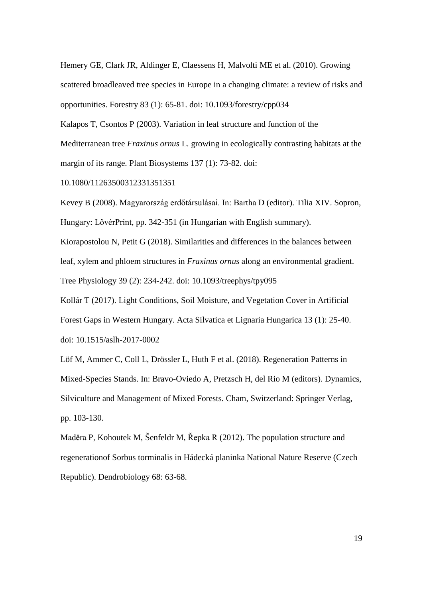Hemery GE, Clark JR, Aldinger E, Claessens H, Malvolti ME et al. (2010). Growing scattered broadleaved tree species in Europe in a changing climate: a review of risks and opportunities. Forestry 83 (1): 65-81. doi: 10.1093/forestry/cpp034

Kalapos T, Csontos P (2003). Variation in leaf structure and function of the Mediterranean tree *Fraxinus ornus* L. growing in ecologically contrasting habitats at the margin of its range. Plant Biosystems 137 (1): 73-82. [doi:](https://doi.org/10.1080/11263500312331351351) 

[10.1080/11263500312331351351](https://doi.org/10.1080/11263500312331351351)

Kevey B (2008). Magyarország erdőtársulásai. In: Bartha D (editor). Tilia XIV. Sopron, Hungary: LővérPrint, pp. 342-351 (in Hungarian with English summary).

Kiorapostolou N, Petit G (2018). Similarities and differences in the balances between leaf, xylem and phloem structures in *Fraxinus ornus* along an environmental gradient. Tree Physiology 39 (2): 234-242. doi: 10.1093/treephys/tpy095

Kollár T (2017). Light Conditions, Soil Moisture, and Vegetation Cover in Artificial Forest Gaps in Western Hungary. Acta Silvatica et Lignaria Hungarica 13 (1): 25-40. doi: [10.1515/aslh-2017-0002](https://www.researchgate.net/deref/http%3A%2F%2Fdx.doi.org%2F10.1515%2Faslh-2017-0002?_sg%5B0%5D=OUHm5KS3lbJoTXy7aA50hwLiEh-NBNzvr5NsRZm443yMC2v5ZbPgVjPDpG6qSvUUYaPQHO-3LvrmQ6Nh_VyQY0gW6w.vf7j25I1G1bUGu7lHFVEg6x8q7MU_ju9rYI2SRVURaumNgGHJCerGi0zvXyIG3IGT9uobIG7gDtFzhjCBL-Kcg)

Löf M, Ammer C, Coll L, Drössler L, Huth F et al. (2018). Regeneration Patterns in Mixed-Species Stands. In: Bravo-Oviedo A, Pretzsch H, del Rio M (editors). Dynamics, Silviculture and Management of Mixed Forests. Cham, Switzerland: Springer Verlag, pp. 103-130.

Maděra P, Kohoutek M, Šenfeldr M, Řepka R (2012). The population structure and regenerationof Sorbus torminalis in Hádecká planinka National Nature Reserve (Czech Republic). Dendrobiology 68: 63-68.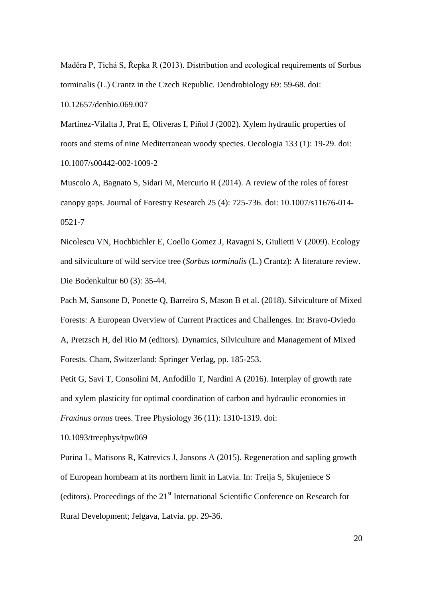Maděra P, Tichá S, Řepka R (2013). Distribution and ecological requirements of Sorbus torminalis (L.) Crantz in the Czech Republic. Dendrobiology 69: 59-68. doi: [10.12657/denbio.069.007](https://doi.org/10.12657/denbio.069.007)

Martínez-Vilalta J, Prat E, Oliveras I, Piñol J (2002). Xylem hydraulic properties of roots and stems of nine Mediterranean woody species. Oecologia 133 (1): 19-29. [doi:](https://doi.org/10.1007/s00442-002-1009-2)  [10.1007/s00442-002-1009-2](https://doi.org/10.1007/s00442-002-1009-2)

Muscolo A, Bagnato S, Sidari M, Mercurio R (2014). A review of the roles of forest canopy gaps. Journal of Forestry Research 25 (4): 725-736. [doi: 10.1007/s11676-014-](https://doi.org/10.1007/s11676-014-0521-7) [0521-7](https://doi.org/10.1007/s11676-014-0521-7)

Nicolescu VN, Hochbichler E, Coello Gomez J, Ravagni S, Giulietti V (2009). Ecology and silviculture of wild service tree (*Sorbus torminalis* (L.) Crantz): A literature review. Die Bodenkultur 60 (3): 35-44.

Pach M, Sansone D, Ponette Q, Barreiro S, Mason B et al. (2018). Silviculture of Mixed Forests: A European Overview of Current Practices and Challenges. In: Bravo-Oviedo A, Pretzsch H, del Rio M (editors). Dynamics, Silviculture and Management of Mixed Forests. Cham, Switzerland: Springer Verlag, pp. 185-253.

Petit G, Savi T, Consolini M, Anfodillo T, Nardini A (2016). Interplay of growth rate and xylem plasticity for optimal coordination of carbon and hydraulic economies in *Fraxinus ornus* trees. Tree Physiology 36 (11): 1310-1319. doi:

[10.1093/treephys/tpw069](https://doi.org/10.1093/treephys/tpw069)

Purina L, Matisons R, Katrevics J, Jansons A (2015). Regeneration and sapling growth of European hornbeam at its northern limit in Latvia. In: Treija S, Skujeniece S (editors). Proceedings of the  $21<sup>st</sup>$  International Scientific Conference on Research for Rural Development; Jelgava, Latvia. pp. 29-36.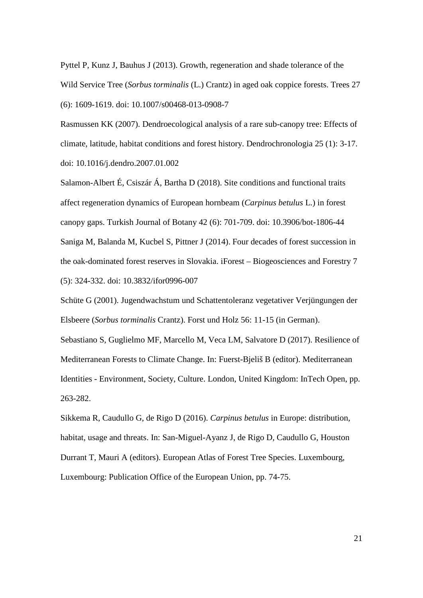Pyttel P, Kunz J, Bauhus J (2013). Growth, regeneration and shade tolerance of the Wild Service Tree (*Sorbus torminalis* (L.) Crantz) in aged oak coppice forests. Trees 27 (6): 1609-1619. doi: 10.1007/s00468-013-0908-7

Rasmussen KK (2007). Dendroecological analysis of a rare sub-canopy tree: Effects of climate, latitude, habitat conditions and forest history. Dendrochronologia 25 (1): 3-17. doi: [10.1016/j.dendro.2007.01.002](https://doi.org/10.1016/j.dendro.2007.01.002)

Salamon-Albert É, Csiszár Á, Bartha D (2018). Site conditions and functional traits affect regeneration dynamics of European hornbeam (*Carpinus betulus* L.) in forest canopy gaps. Turkish Journal of Botany 42 (6): 701-709. doi: 10.3906/bot-1806-44 Saniga M, Balanda M, Kucbel S, Pittner J (2014). Four decades of forest succession in the oak-dominated forest reserves in Slovakia. iForest – Biogeosciences and Forestry 7 (5): 324-332. doi: [10.3832/ifor0996-007](https://www.researchgate.net/deref/http%3A%2F%2Fdx.doi.org%2F10.3832%2Fifor0996-007?_sg%5B0%5D=opl-NfWTLHwedckXzW5kwYSxYv2401uobK4qGFhAyz65AhT_iQqd5p8fUyE5ir7qlPVaeHSe8v9iiR2K0sKzwD-Q_g.uJ98wJqaTJoXC3uCiZ49bdjSFnVBvCVUrTCvljqcymsSCpMM4jnf3qjtI5Ejbz3rbQwzAuvLm_qLS5V3xhBDuQ)

Schüte G (2001). Jugendwachstum und Schattentoleranz vegetativer Verjüngungen der Elsbeere (*Sorbus torminalis* Crantz). Forst und Holz 56: 11-15 (in German).

Sebastiano S, Guglielmo MF, Marcello M, Veca LM, Salvatore D (2017). Resilience of Mediterranean Forests to Climate Change. In: Fuerst-Bjeliš B (editor). Mediterranean Identities - Environment, Society, Culture. London, United Kingdom: InTech Open, pp. 263-282.

Sikkema R, Caudullo G, de Rigo D (2016). *Carpinus betulus* in Europe: distribution, habitat, usage and threats. In: San-Miguel-Ayanz J, de Rigo D, Caudullo G, Houston Durrant T, Mauri A (editors). European Atlas of Forest Tree Species. Luxembourg, Luxembourg: Publication Office of the European Union, pp. 74-75.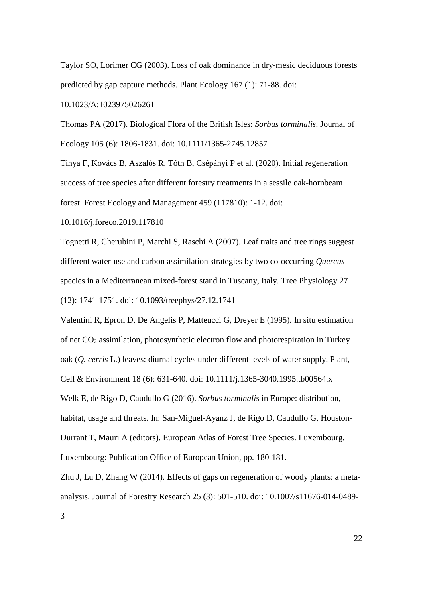Taylor SO, Lorimer CG (2003). Loss of oak dominance in dry-mesic deciduous forests predicted by gap capture methods. Plant Ecology 167 (1): 71-88. [doi:](https://doi.org/10.1023/A:1023975026261) 

[10.1023/A:1023975026261](https://doi.org/10.1023/A:1023975026261)

Thomas PA (2017). Biological Flora of the British Isles: *Sorbus torminalis*. Journal of Ecology 105 (6): 1806-1831. [doi: 10.1111/1365-2745.12857](https://doi.org/10.1111/1365-2745.12857)

Tinya F, Kovács B, Aszalós R, Tóth B, Csépányi P et al. (2020). Initial regeneration success of tree species after different forestry treatments in a sessile oak-hornbeam forest. Forest Ecology and Management 459 (117810): 1-12. [doi:](https://doi.org/10.1016/j.foreco.2019.117810) 

[10.1016/j.foreco.2019.117810](https://doi.org/10.1016/j.foreco.2019.117810)

Tognetti R, Cherubini P, Marchi S, Raschi A (2007). Leaf traits and tree rings suggest different water-use and carbon assimilation strategies by two co-occurring *Quercus* species in a Mediterranean mixed-forest stand in Tuscany, Italy. Tree Physiology 27 (12): 1741-1751. doi: [10.1093/treephys/27.12.1741](https://doi.org/10.1093/treephys/27.12.1741)

Valentini R, Epron D, De Angelis P, Matteucci G, Dreyer E (1995). In situ estimation of net  $CO<sub>2</sub>$  assimilation, photosynthetic electron flow and photorespiration in Turkey oak (*Q. cerris* L.) leaves: diurnal cycles under different levels of water supply. Plant, Cell & Environment 18 (6): 631-640. doi: [10.1111/j.1365-3040.1995.tb00564.x](https://doi.org/10.1111/j.1365-3040.1995.tb00564.x)

Welk E, de Rigo D, Caudullo G (2016). *Sorbus torminalis* in Europe: distribution, habitat, usage and threats. In: San-Miguel-Ayanz J, de Rigo D, Caudullo G, Houston-Durrant T, Mauri A (editors). European Atlas of Forest Tree Species. Luxembourg, Luxembourg: Publication Office of European Union, pp. 180-181.

Zhu J, Lu D, Zhang W (2014). Effects of gaps on regeneration of woody plants: a metaanalysis. Journal of Forestry Research 25 (3): 501-510. doi: [10.1007/s11676-014-0489-](https://doi.org/10.1007/s11676-014-0489-3)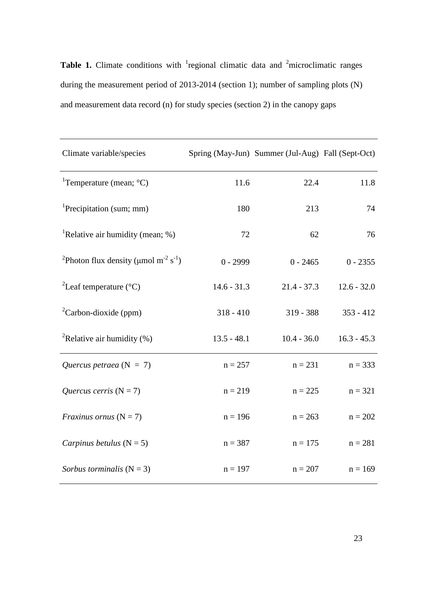**Table 1.** Climate conditions with <sup>1</sup> regional climatic data and <sup>2</sup> microclimatic ranges during the measurement period of 2013-2014 (section 1); number of sampling plots (N) and measurement data record (n) for study species (section 2) in the canopy gaps

| Climate variable/species                                                       |               | Spring (May-Jun) Summer (Jul-Aug) Fall (Sept-Oct) |               |
|--------------------------------------------------------------------------------|---------------|---------------------------------------------------|---------------|
| <sup>1</sup> Temperature (mean; $^{\circ}$ C)                                  | 11.6          | 22.4                                              | 11.8          |
| <sup>1</sup> Precipitation (sum; mm)                                           | 180           | 213                                               | 74            |
| <sup>1</sup> Relative air humidity (mean; $\%$ )                               | 72            | 62                                                | 76            |
| <sup>2</sup> Photon flux density ( $\mu$ mol m <sup>-2</sup> s <sup>-1</sup> ) | $0 - 2999$    | $0 - 2465$                                        | $0 - 2355$    |
| <sup>2</sup> Leaf temperature ( $^{\circ}$ C)                                  | $14.6 - 31.3$ | $21.4 - 37.3$                                     | $12.6 - 32.0$ |
| ${}^{2}$ Carbon-dioxide (ppm)                                                  | $318 - 410$   | $319 - 388$                                       | $353 - 412$   |
| <sup>2</sup> Relative air humidity $(\%)$                                      | $13.5 - 48.1$ | $10.4 - 36.0$                                     | $16.3 - 45.3$ |
| Quercus petraea ( $N = 7$ )                                                    | $n = 257$     | $n = 231$                                         | $n = 333$     |
| Quercus cerris $(N = 7)$                                                       | $n = 219$     | $n = 225$                                         | $n = 321$     |
| <i>Fraxinus ornus</i> $(N = 7)$                                                | $n = 196$     | $n = 263$                                         | $n = 202$     |
| Carpinus betulus $(N = 5)$                                                     | $n = 387$     | $n = 175$                                         | $n = 281$     |
| Sorbus torminalis $(N = 3)$                                                    | $n = 197$     | $n = 207$                                         | $n = 169$     |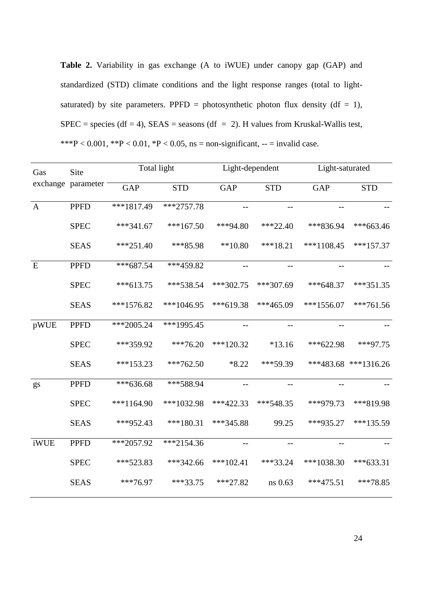**Table 2.** Variability in gas exchange (A to iWUE) under canopy gap (GAP) and standardized (STD) climate conditions and the light response ranges (total to lightsaturated) by site parameters. PPFD = photosynthetic photon flux density ( $df = 1$ ), SPEC = species (df = 4), SEAS = seasons (df = 2). H values from Kruskal-Wallis test, \*\*\*P < 0.001, \*\*P < 0.01, \*P < 0.05, ns = non-significant, -- = invalid case.

| Gas          | Site<br>exchange parameter - | Total light             |              | Light-dependent |             | Light-saturated   |                      |
|--------------|------------------------------|-------------------------|--------------|-----------------|-------------|-------------------|----------------------|
|              |                              | $\overline{\text{GAP}}$ | <b>STD</b>   | <b>GAP</b>      | <b>STD</b>  | <b>GAP</b>        | <b>STD</b>           |
| $\mathbf{A}$ | <b>PPFD</b>                  | ***1817.49              | $***2757.78$ | $- -$           | $- -$       | $\qquad \qquad -$ |                      |
|              | <b>SPEC</b>                  | $***341.67$             | $***167.50$  | ***94.80        | $***22.40$  | ***836.94         | $***663.46$          |
|              | <b>SEAS</b>                  | $***251.40$             | $***85.98$   | $**10.80$       | $***18.21$  | $***1108.45$      | $***157.37$          |
| E            | <b>PPFD</b>                  | $***687.54$             | $***459.82$  |                 |             |                   |                      |
|              | <b>SPEC</b>                  | $***613.75$             | $***538.54$  | $***302.75$     | $***307.69$ | $***648.37$       | $***351.35$          |
|              | <b>SEAS</b>                  | $***1576.82$            | $***1046.95$ | $***619.38$     | $***465.09$ | $***1556.07$      | $***761.56$          |
| pWUE         | <b>PPFD</b>                  | $***2005.24$            | ***1995.45   |                 |             |                   |                      |
|              | <b>SPEC</b>                  | ***359.92               | $***76.20$   | $***120.32$     | $*13.16$    | $***622.98$       | ***97.75             |
|              | <b>SEAS</b>                  | $***153.23$             | $***762.50$  | $*8.22$         | $***59.39$  |                   | ***483.68 ***1316.26 |
| gs           | <b>PPFD</b>                  | $***636.68$             | ***588.94    | $-\, -$         | $-\, -$     | $-$               |                      |
|              | <b>SPEC</b>                  | $***1164.90$            | ***1032.98   | $***422.33$     | $***548.35$ | ***979.73         | ***819.98            |
|              | <b>SEAS</b>                  | ***952.43               | $***180.31$  | ***345.88       | 99.25       | $***935.27$       | ***135.59            |
| iWUE         | <b>PPFD</b>                  | $***2057.92$            | $**2154.36$  |                 |             |                   |                      |
|              | <b>SPEC</b>                  | *** 523.83              | $***342.66$  | $***102.41$     | $***33.24$  | $***1038.30$      | $***633.31$          |
|              | <b>SEAS</b>                  | $***76.97$              | $***33.75$   | $***27.82$      | ns 0.63     | $***475.51$       | $***78.85$           |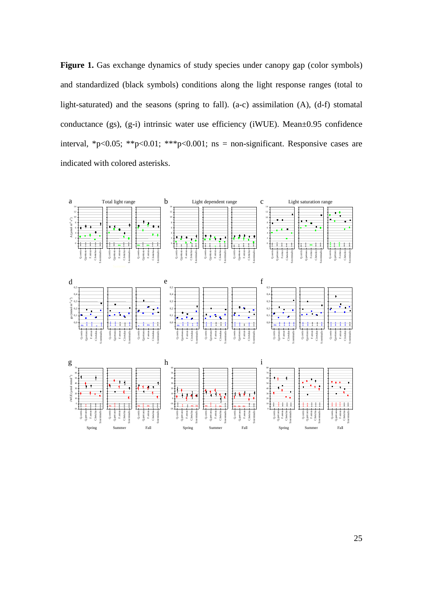Figure 1. Gas exchange dynamics of study species under canopy gap (color symbols) and standardized (black symbols) conditions along the light response ranges (total to light-saturated) and the seasons (spring to fall). (a-c) assimilation (A), (d-f) stomatal conductance (gs), (g-i) intrinsic water use efficiency (iWUE). Mean±0.95 confidence interval, \*p<0.05; \*\*p<0.01; \*\*\*p<0.001; ns = non-significant. Responsive cases are indicated with colored asterisks.